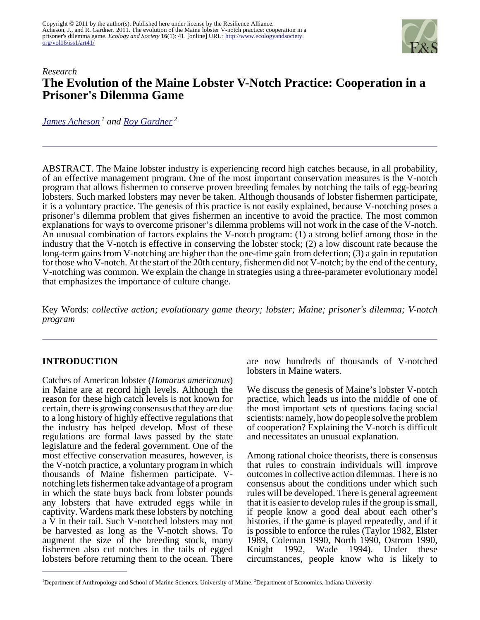

# *Research* **The Evolution of the Maine Lobster V-Notch Practice: Cooperation in a Prisoner's Dilemma Game**

*[James Acheson](mailto:acheson@maine.edu)<sup>1</sup> and [Roy Gardner](mailto:gardner@indiana.edu)<sup>2</sup>*

ABSTRACT. The Maine lobster industry is experiencing record high catches because, in all probability, of an effective management program. One of the most important conservation measures is the V-notch program that allows fishermen to conserve proven breeding females by notching the tails of egg-bearing lobsters. Such marked lobsters may never be taken. Although thousands of lobster fishermen participate, it is a voluntary practice. The genesis of this practice is not easily explained, because V-notching poses a prisoner's dilemma problem that gives fishermen an incentive to avoid the practice. The most common explanations for ways to overcome prisoner's dilemma problems will not work in the case of the V-notch. An unusual combination of factors explains the V-notch program: (1) a strong belief among those in the industry that the V-notch is effective in conserving the lobster stock; (2) a low discount rate because the long-term gains from V-notching are higher than the one-time gain from defection; (3) a gain in reputation for those who V-notch. At the start of the 20th century, fishermen did not V-notch; by the end of the century, V-notching was common. We explain the change in strategies using a three-parameter evolutionary model that emphasizes the importance of culture change.

Key Words: *collective action; evolutionary game theory; lobster; Maine; prisoner's dilemma; V-notch program* 

### **INTRODUCTION**

Catches of American lobster (*Homarus americanus*) in Maine are at record high levels. Although the reason for these high catch levels is not known for certain, there is growing consensus that they are due to a long history of highly effective regulations that the industry has helped develop. Most of these regulations are formal laws passed by the state legislature and the federal government. One of the most effective conservation measures, however, is the V-notch practice, a voluntary program in which thousands of Maine fishermen participate. Vnotching lets fishermen take advantage of a program in which the state buys back from lobster pounds any lobsters that have extruded eggs while in captivity. Wardens mark these lobsters by notching  $a \bar{V}$  in their tail. Such V-notched lobsters may not be harvested as long as the V-notch shows. To augment the size of the breeding stock, many fishermen also cut notches in the tails of egged lobsters before returning them to the ocean. There

are now hundreds of thousands of V-notched lobsters in Maine waters.

We discuss the genesis of Maine's lobster V-notch practice, which leads us into the middle of one of the most important sets of questions facing social scientists: namely, how do people solve the problem of cooperation? Explaining the V-notch is difficult and necessitates an unusual explanation.

Among rational choice theorists, there is consensus that rules to constrain individuals will improve outcomes in collective action dilemmas. There is no consensus about the conditions under which such rules will be developed. There is general agreement that it is easier to develop rules if the group is small, if people know a good deal about each other's histories, if the game is played repeatedly, and if it is possible to enforce the rules (Taylor 1982, Elster 1989, Coleman 1990, North 1990, Ostrom 1990, Knight 1992, Wade 1994). circumstances, people know who is likely to

<sup>&</sup>lt;sup>1</sup>Department of Anthropology and School of Marine Sciences, University of Maine, <sup>2</sup>Department of Economics, Indiana University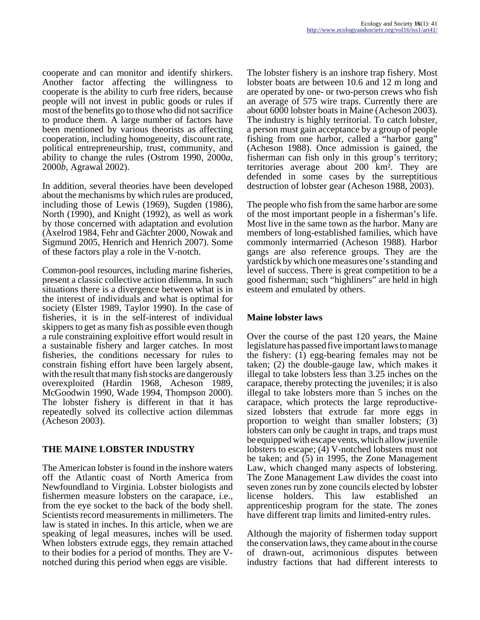cooperate and can monitor and identify shirkers. Another factor affecting the willingness to cooperate is the ability to curb free riders, because people will not invest in public goods or rules if most of the benefits go to those who did not sacrifice to produce them. A large number of factors have been mentioned by various theorists as affecting cooperation, including homogeneity, discount rate, political entrepreneurship, trust, community, and ability to change the rules (Ostrom 1990, 2000*a*, 2000*b*, Agrawal 2002).

In addition, several theories have been developed about the mechanisms by which rules are produced, including those of Lewis (1969), Sugden (1986), North (1990), and Knight (1992), as well as work by those concerned with adaptation and evolution (Axelrod 1984, Fehr and Gächter 2000, Nowak and Sigmund 2005, Henrich and Henrich 2007). Some of these factors play a role in the V-notch.

Common-pool resources, including marine fisheries, present a classic collective action dilemma. In such situations there is a divergence between what is in the interest of individuals and what is optimal for society (Elster 1989, Taylor 1990). In the case of fisheries, it is in the self-interest of individual skippers to get as many fish as possible even though a rule constraining exploitive effort would result in a sustainable fishery and larger catches. In most fisheries, the conditions necessary for rules to constrain fishing effort have been largely absent, with the result that many fish stocks are dangerously overexploited (Hardin 1968, Acheson 1989, McGoodwin 1990, Wade 1994, Thompson 2000). The lobster fishery is different in that it has repeatedly solved its collective action dilemmas (Acheson 2003).

## **THE MAINE LOBSTER INDUSTRY**

The American lobster is found in the inshore waters off the Atlantic coast of North America from Newfoundland to Virginia. Lobster biologists and fishermen measure lobsters on the carapace, i.e., from the eye socket to the back of the body shell. Scientists record measurements in millimeters. The law is stated in inches. In this article, when we are speaking of legal measures, inches will be used. When lobsters extrude eggs, they remain attached to their bodies for a period of months. They are Vnotched during this period when eggs are visible.

The lobster fishery is an inshore trap fishery. Most lobster boats are between 10.6 and 12 m long and are operated by one- or two-person crews who fish an average of 575 wire traps. Currently there are about 6000 lobster boats in Maine (Acheson 2003). The industry is highly territorial. To catch lobster, a person must gain acceptance by a group of people fishing from one harbor, called a "harbor gang" (Acheson 1988). Once admission is gained, the fisherman can fish only in this group's territory; territories average about 200 km². They are defended in some cases by the surreptitious destruction of lobster gear (Acheson 1988, 2003).

The people who fish from the same harbor are some of the most important people in a fisherman's life. Most live in the same town as the harbor. Many are members of long-established families, which have commonly intermarried (Acheson 1988). Harbor gangs are also reference groups. They are the yardstick by which one measures one's standing and level of success. There is great competition to be a good fisherman; such "highliners" are held in high esteem and emulated by others.

### **Maine lobster laws**

Over the course of the past 120 years, the Maine legislature has passed five important laws to manage the fishery: (1) egg-bearing females may not be taken; (2) the double-gauge law, which makes it illegal to take lobsters less than 3.25 inches on the carapace, thereby protecting the juveniles; it is also illegal to take lobsters more than 5 inches on the carapace, which protects the large reproductivesized lobsters that extrude far more eggs in proportion to weight than smaller lobsters; (3) lobsters can only be caught in traps, and traps must be equipped with escape vents, which allow juvenile lobsters to escape; (4) V-notched lobsters must not be taken; and (5) in 1995, the Zone Management Law, which changed many aspects of lobstering. The Zone Management Law divides the coast into seven zones run by zone councils elected by lobster license holders. This law established an apprenticeship program for the state. The zones have different trap limits and limited-entry rules.

Although the majority of fishermen today support the conservation laws, they came about in the course of drawn-out, acrimonious disputes between industry factions that had different interests to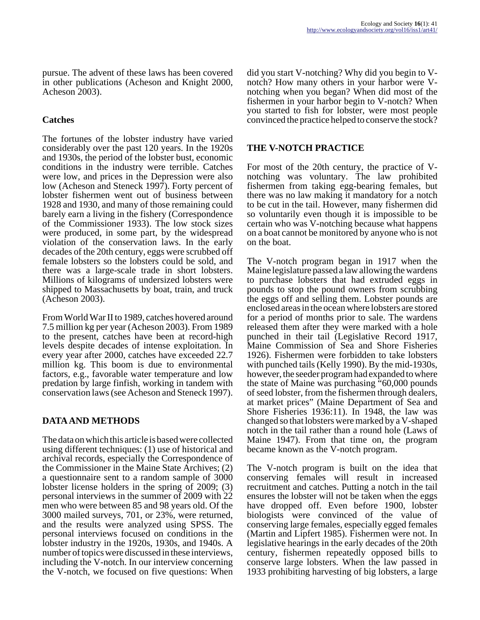pursue. The advent of these laws has been covered in other publications (Acheson and Knight 2000, Acheson 2003).

### **Catches**

The fortunes of the lobster industry have varied considerably over the past 120 years. In the 1920s and 1930s, the period of the lobster bust, economic conditions in the industry were terrible. Catches were low, and prices in the Depression were also low (Acheson and Steneck 1997). Forty percent of lobster fishermen went out of business between 1928 and 1930, and many of those remaining could barely earn a living in the fishery (Correspondence of the Commissioner 1933). The low stock sizes were produced, in some part, by the widespread violation of the conservation laws. In the early decades of the 20th century, eggs were scrubbed off female lobsters so the lobsters could be sold, and there was a large-scale trade in short lobsters. Millions of kilograms of undersized lobsters were shipped to Massachusetts by boat, train, and truck (Acheson 2003).

From World War II to 1989, catches hovered around 7.5 million kg per year (Acheson 2003). From 1989 to the present, catches have been at record-high levels despite decades of intense exploitation. In every year after 2000, catches have exceeded 22.7 million kg. This boom is due to environmental factors, e.g., favorable water temperature and low predation by large finfish, working in tandem with conservation laws (see Acheson and Steneck 1997).

## **DATA AND METHODS**

The data on which this article is based were collected using different techniques: (1) use of historical and archival records, especially the Correspondence of the Commissioner in the Maine State Archives; (2) a questionnaire sent to a random sample of 3000 lobster license holders in the spring of 2009; (3) personal interviews in the summer of 2009 with 22 men who were between 85 and 98 years old. Of the 3000 mailed surveys, 701, or 23%, were returned, and the results were analyzed using SPSS. The personal interviews focused on conditions in the lobster industry in the 1920s, 1930s, and 1940s. A number of topics were discussed in these interviews, including the V-notch. In our interview concerning the V-notch, we focused on five questions: When

did you start V-notching? Why did you begin to Vnotch? How many others in your harbor were Vnotching when you began? When did most of the fishermen in your harbor begin to V-notch? When you started to fish for lobster, were most people convinced the practice helped to conserve the stock?

## **THE V-NOTCH PRACTICE**

For most of the 20th century, the practice of Vnotching was voluntary. The law prohibited fishermen from taking egg-bearing females, but there was no law making it mandatory for a notch to be cut in the tail. However, many fishermen did so voluntarily even though it is impossible to be certain who was V-notching because what happens on a boat cannot be monitored by anyone who is not on the boat.

The V-notch program began in 1917 when the Maine legislature passed a law allowing the wardens to purchase lobsters that had extruded eggs in pounds to stop the pound owners from scrubbing the eggs off and selling them. Lobster pounds are enclosed areas in the ocean where lobsters are stored for a period of months prior to sale. The wardens released them after they were marked with a hole punched in their tail (Legislative Record 1917, Maine Commission of Sea and Shore Fisheries 1926). Fishermen were forbidden to take lobsters with punched tails (Kelly 1990). By the mid-1930s, however, the seeder program had expanded to where the state of Maine was purchasing "60,000 pounds of seed lobster, from the fishermen through dealers, at market prices" (Maine Department of Sea and Shore Fisheries 1936:11). In 1948, the law was changed so that lobsters were marked by a V-shaped notch in the tail rather than a round hole (Laws of Maine 1947). From that time on, the program became known as the V-notch program.

The V-notch program is built on the idea that conserving females will result in increased recruitment and catches. Putting a notch in the tail ensures the lobster will not be taken when the eggs have dropped off. Even before 1900, lobster biologists were convinced of the value of conserving large females, especially egged females (Martin and Lipfert 1985). Fishermen were not. In legislative hearings in the early decades of the 20th century, fishermen repeatedly opposed bills to conserve large lobsters. When the law passed in 1933 prohibiting harvesting of big lobsters, a large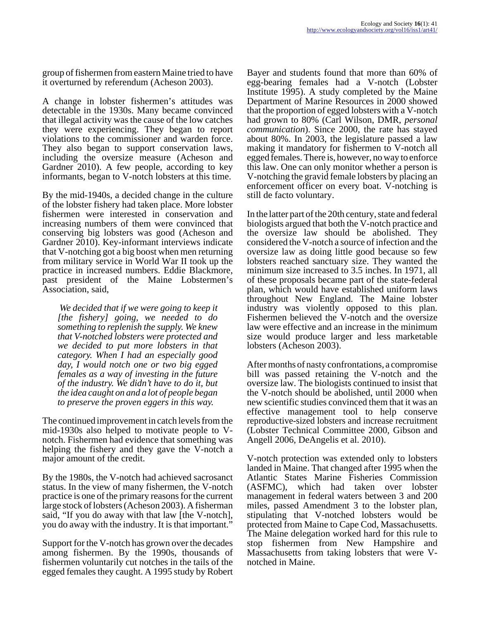group of fishermen from eastern Maine tried to have it overturned by referendum (Acheson 2003).

A change in lobster fishermen's attitudes was detectable in the 1930s. Many became convinced that illegal activity was the cause of the low catches they were experiencing. They began to report violations to the commissioner and warden force. They also began to support conservation laws, including the oversize measure (Acheson and Gardner 2010). A few people, according to key informants, began to V-notch lobsters at this time.

By the mid-1940s, a decided change in the culture of the lobster fishery had taken place. More lobster fishermen were interested in conservation and increasing numbers of them were convinced that conserving big lobsters was good (Acheson and Gardner 2010). Key-informant interviews indicate that V-notching got a big boost when men returning from military service in World War II took up the practice in increased numbers. Eddie Blackmore, past president of the Maine Lobstermen's Association, said,

 *We decided that if we were going to keep it [the fishery] going, we needed to do something to replenish the supply. We knew that V-notched lobsters were protected and we decided to put more lobsters in that category. When I had an especially good day, I would notch one or two big egged females as a way of investing in the future of the industry. We didn't have to do it, but the idea caught on and a lot of people began to preserve the proven eggers in this way.*

The continued improvement in catch levels from the mid-1930s also helped to motivate people to Vnotch. Fishermen had evidence that something was helping the fishery and they gave the V-notch a major amount of the credit.

By the 1980s, the V-notch had achieved sacrosanct status. In the view of many fishermen, the V-notch practice is one of the primary reasons for the current large stock of lobsters (Acheson 2003). A fisherman said, "If you do away with that law [the V-notch], you do away with the industry. It is that important."

Support for the V-notch has grown over the decades among fishermen. By the 1990s, thousands of fishermen voluntarily cut notches in the tails of the egged females they caught. A 1995 study by Robert

Bayer and students found that more than 60% of egg-bearing females had a V-notch (Lobster Institute 1995). A study completed by the Maine Department of Marine Resources in 2000 showed that the proportion of egged lobsters with a V-notch had grown to 80% (Carl Wilson, DMR, *personal communication*). Since 2000, the rate has stayed about 80%. In 2003, the legislature passed a law making it mandatory for fishermen to V-notch all egged females. There is, however, no way to enforce this law. One can only monitor whether a person is V-notching the gravid female lobsters by placing an enforcement officer on every boat. V-notching is still de facto voluntary.

In the latter part of the 20th century, state and federal biologists argued that both the V-notch practice and the oversize law should be abolished. They considered the V-notch a source of infection and the oversize law as doing little good because so few lobsters reached sanctuary size. They wanted the minimum size increased to 3.5 inches. In 1971, all of these proposals became part of the state-federal plan, which would have established uniform laws throughout New England. The Maine lobster industry was violently opposed to this plan. Fishermen believed the V-notch and the oversize law were effective and an increase in the minimum size would produce larger and less marketable lobsters (Acheson 2003).

After months of nasty confrontations, a compromise bill was passed retaining the V-notch and the oversize law. The biologists continued to insist that the V-notch should be abolished, until 2000 when new scientific studies convinced them that it was an effective management tool to help conserve reproductive-sized lobsters and increase recruitment (Lobster Technical Committee 2000, Gibson and Angell 2006, DeAngelis et al. 2010).

V-notch protection was extended only to lobsters landed in Maine. That changed after 1995 when the Atlantic States Marine Fisheries Commission (ASFMC), which had taken over lobster management in federal waters between 3 and 200 miles, passed Amendment 3 to the lobster plan, stipulating that V-notched lobsters would be protected from Maine to Cape Cod, Massachusetts. The Maine delegation worked hard for this rule to stop fishermen from New Hampshire and Massachusetts from taking lobsters that were Vnotched in Maine.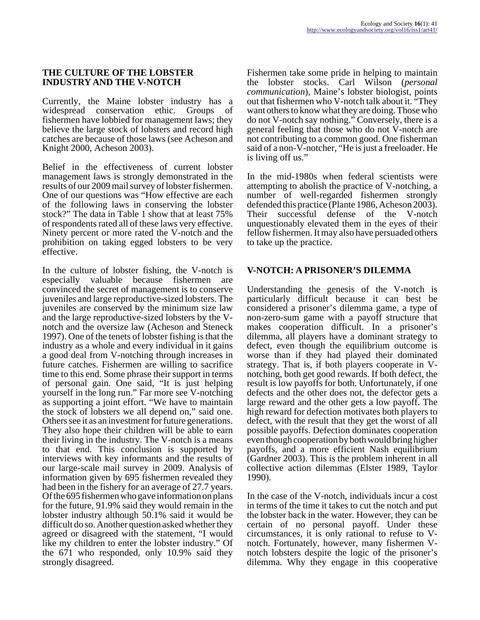#### **THE CULTURE OF THE LOBSTER INDUSTRY AND THE V-NOTCH**

Currently, the Maine lobster industry has a widespread conservation ethic. Groups of fishermen have lobbied for management laws; they believe the large stock of lobsters and record high catches are because of those laws (see Acheson and Knight 2000, Acheson 2003).

Belief in the effectiveness of current lobster management laws is strongly demonstrated in the results of our 2009 mail survey of lobster fishermen. One of our questions was "How effective are each of the following laws in conserving the lobster stock?" The data in Table 1 show that at least 75% of respondents rated all of these laws very effective. Ninety percent or more rated the V-notch and the prohibition on taking egged lobsters to be very effective.

In the culture of lobster fishing, the V-notch is especially valuable because fishermen are convinced the secret of management is to conserve juveniles and large reproductive-sized lobsters. The juveniles are conserved by the minimum size law and the large reproductive-sized lobsters by the Vnotch and the oversize law (Acheson and Steneck 1997). One of the tenets of lobster fishing is that the industry as a whole and every individual in it gains a good deal from V-notching through increases in future catches. Fishermen are willing to sacrifice time to this end. Some phrase their support in terms of personal gain. One said, "It is just helping yourself in the long run." Far more see V-notching as supporting a joint effort. "We have to maintain the stock of lobsters we all depend on," said one. Others see it as an investment for future generations. They also hope their children will be able to earn their living in the industry. The V-notch is a means to that end. This conclusion is supported by interviews with key informants and the results of our large-scale mail survey in 2009. Analysis of information given by 695 fishermen revealed they had been in the fishery for an average of 27.7 years. Of the 695 fishermen who gave information on plans for the future, 91.9% said they would remain in the lobster industry although 50.1% said it would be difficult do so. Another question asked whether they agreed or disagreed with the statement, "I would like my children to enter the lobster industry." Of the 671 who responded, only 10.9% said they strongly disagreed.

Fishermen take some pride in helping to maintain the lobster stocks. Carl Wilson (*personal communication*), Maine's lobster biologist, points out that fishermen who V-notch talk about it. "They want others to know what they are doing. Those who do not V-notch say nothing." Conversely, there is a general feeling that those who do not V-notch are not contributing to a common good. One fisherman said of a non-V-notcher, "He is just a freeloader. He is living off us."

In the mid-1980s when federal scientists were attempting to abolish the practice of V-notching, a number of well-regarded fishermen strongly defended this practice (Plante 1986, Acheson 2003). Their successful defense of the V-notch unquestionably elevated them in the eyes of their fellow fishermen. It may also have persuaded others to take up the practice.

### **V-NOTCH: A PRISONER'S DILEMMA**

Understanding the genesis of the V-notch is particularly difficult because it can best be considered a prisoner's dilemma game, a type of non-zero-sum game with a payoff structure that makes cooperation difficult. In a prisoner's dilemma, all players have a dominant strategy to defect, even though the equilibrium outcome is worse than if they had played their dominated strategy. That is, if both players cooperate in Vnotching, both get good rewards. If both defect, the result is low payoffs for both. Unfortunately, if one defects and the other does not, the defector gets a large reward and the other gets a low payoff. The high reward for defection motivates both players to defect, with the result that they get the worst of all possible payoffs. Defection dominates cooperation even though cooperation by both would bring higher payoffs, and a more efficient Nash equilibrium (Gardner 2003). This is the problem inherent in all collective action dilemmas (Elster 1989, Taylor 1990).

In the case of the V-notch, individuals incur a cost in terms of the time it takes to cut the notch and put the lobster back in the water. However, they can be certain of no personal payoff. Under these circumstances, it is only rational to refuse to Vnotch. Fortunately, however, many fishermen Vnotch lobsters despite the logic of the prisoner's dilemma. Why they engage in this cooperative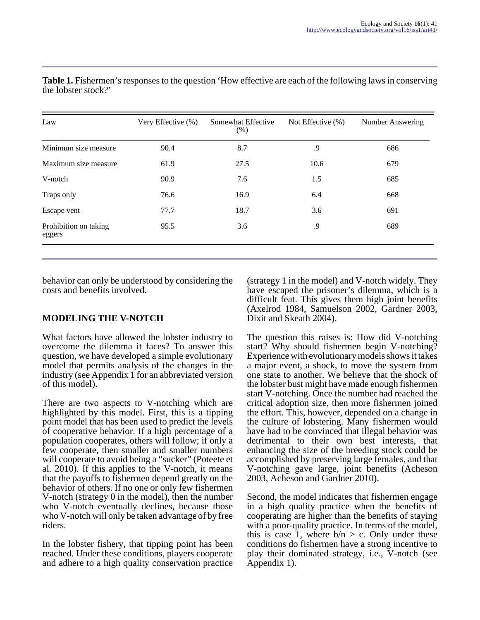| Law                             | Very Effective (%) | Somewhat Effective<br>(% ) | Not Effective (%) | <b>Number Answering</b> |
|---------------------------------|--------------------|----------------------------|-------------------|-------------------------|
| Minimum size measure            | 90.4               | 8.7                        | .9                | 686                     |
| Maximum size measure            | 61.9               | 27.5                       | 10.6              | 679                     |
| V-notch                         | 90.9               | 7.6                        | 1.5               | 685                     |
| Traps only                      | 76.6               | 16.9                       | 6.4               | 668                     |
| Escape vent                     | 77.7               | 18.7                       | 3.6               | 691                     |
| Prohibition on taking<br>eggers | 95.5               | 3.6                        | .9                | 689                     |
|                                 |                    |                            |                   |                         |

**Table 1.** Fishermen's responses to the question 'How effective are each of the following laws in conserving the lobster stock?'

behavior can only be understood by considering the costs and benefits involved.

## **MODELING THE V-NOTCH**

What factors have allowed the lobster industry to overcome the dilemma it faces? To answer this question, we have developed a simple evolutionary model that permits analysis of the changes in the industry (see Appendix 1 for an abbreviated version of this model).

There are two aspects to V-notching which are highlighted by this model. First, this is a tipping point model that has been used to predict the levels of cooperative behavior. If a high percentage of a population cooperates, others will follow; if only a few cooperate, then smaller and smaller numbers will cooperate to avoid being a "sucker" (Poteete et al. 2010). If this applies to the V-notch, it means that the payoffs to fishermen depend greatly on the behavior of others. If no one or only few fishermen V-notch (strategy 0 in the model), then the number who V-notch eventually declines, because those who V-notch will only be taken advantage of by free riders.

In the lobster fishery, that tipping point has been reached. Under these conditions, players cooperate and adhere to a high quality conservation practice (strategy 1 in the model) and V-notch widely. They have escaped the prisoner's dilemma, which is a difficult feat. This gives them high joint benefits (Axelrod 1984, Samuelson 2002, Gardner 2003, Dixit and Skeath 2004).

The question this raises is: How did V-notching start? Why should fishermen begin V-notching? Experience with evolutionary models shows it takes a major event, a shock, to move the system from one state to another. We believe that the shock of the lobster bust might have made enough fishermen start V-notching. Once the number had reached the critical adoption size, then more fishermen joined the effort. This, however, depended on a change in the culture of lobstering. Many fishermen would have had to be convinced that illegal behavior was detrimental to their own best interests, that enhancing the size of the breeding stock could be accomplished by preserving large females, and that V-notching gave large, joint benefits (Acheson 2003, Acheson and Gardner 2010).

Second, the model indicates that fishermen engage in a high quality practice when the benefits of cooperating are higher than the benefits of staying with a poor-quality practice. In terms of the model, this is case 1, where  $b/n > c$ . Only under these conditions do fishermen have a strong incentive to play their dominated strategy, i.e., V-notch (see Appendix 1).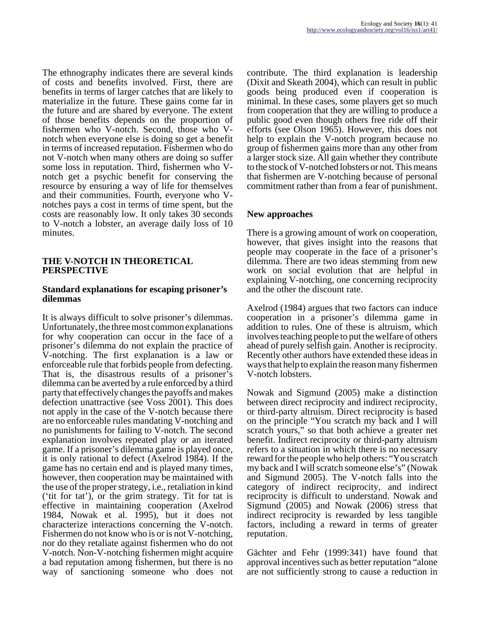The ethnography indicates there are several kinds of costs and benefits involved. First, there are benefits in terms of larger catches that are likely to materialize in the future. These gains come far in the future and are shared by everyone. The extent of those benefits depends on the proportion of fishermen who V-notch. Second, those who Vnotch when everyone else is doing so get a benefit in terms of increased reputation. Fishermen who do not V-notch when many others are doing so suffer some loss in reputation. Third, fishermen who Vnotch get a psychic benefit for conserving the resource by ensuring a way of life for themselves and their communities. Fourth, everyone who Vnotches pays a cost in terms of time spent, but the costs are reasonably low. It only takes 30 seconds to V-notch a lobster, an average daily loss of 10 minutes.

#### **THE V-NOTCH IN THEORETICAL PERSPECTIVE**

#### **Standard explanations for escaping prisoner's dilemmas**

It is always difficult to solve prisoner's dilemmas. Unfortunately, the three most common explanations for why cooperation can occur in the face of a prisoner's dilemma do not explain the practice of V-notching. The first explanation is a law or enforceable rule that forbids people from defecting. That is, the disastrous results of a prisoner's dilemma can be averted by a rule enforced by a third party that effectively changes the payoffs and makes defection unattractive (see Voss 2001). This does not apply in the case of the V-notch because there are no enforceable rules mandating V-notching and no punishments for failing to V-notch. The second explanation involves repeated play or an iterated game. If a prisoner's dilemma game is played once, it is only rational to defect (Axelrod 1984). If the game has no certain end and is played many times, however, then cooperation may be maintained with the use of the proper strategy, i.e., retaliation in kind ('tit for tat'), or the grim strategy. Tit for tat is effective in maintaining cooperation (Axelrod 1984, Nowak et al. 1995), but it does not characterize interactions concerning the V-notch. Fishermen do not know who is or is not V-notching, nor do they retaliate against fishermen who do not V-notch. Non-V-notching fishermen might acquire a bad reputation among fishermen, but there is no way of sanctioning someone who does not

contribute. The third explanation is leadership (Dixit and Skeath 2004), which can result in public goods being produced even if cooperation is minimal. In these cases, some players get so much from cooperation that they are willing to produce a public good even though others free ride off their efforts (see Olson 1965). However, this does not help to explain the V-notch program because no group of fishermen gains more than any other from a larger stock size. All gain whether they contribute to the stock of V-notched lobsters or not. This means that fishermen are V-notching because of personal commitment rather than from a fear of punishment.

## **New approaches**

There is a growing amount of work on cooperation, however, that gives insight into the reasons that people may cooperate in the face of a prisoner's dilemma. There are two ideas stemming from new work on social evolution that are helpful in explaining V-notching, one concerning reciprocity and the other the discount rate.

Axelrod (1984) argues that two factors can induce cooperation in a prisoner's dilemma game in addition to rules. One of these is altruism, which involves teaching people to put the welfare of others ahead of purely selfish gain. Another is reciprocity. Recently other authors have extended these ideas in ways that help to explain the reason many fishermen V-notch lobsters.

Nowak and Sigmund (2005) make a distinction between direct reciprocity and indirect reciprocity, or third-party altruism. Direct reciprocity is based on the principle "You scratch my back and I will scratch yours," so that both achieve a greater net benefit. Indirect reciprocity or third-party altruism refers to a situation in which there is no necessary reward for the people who help others: "You scratch my back and I will scratch someone else's" (Nowak and Sigmund 2005). The V-notch falls into the category of indirect reciprocity, and indirect reciprocity is difficult to understand. Nowak and Sigmund (2005) and Nowak (2006) stress that indirect reciprocity is rewarded by less tangible factors, including a reward in terms of greater reputation.

Gächter and Fehr (1999:341) have found that approval incentives such as better reputation "alone are not sufficiently strong to cause a reduction in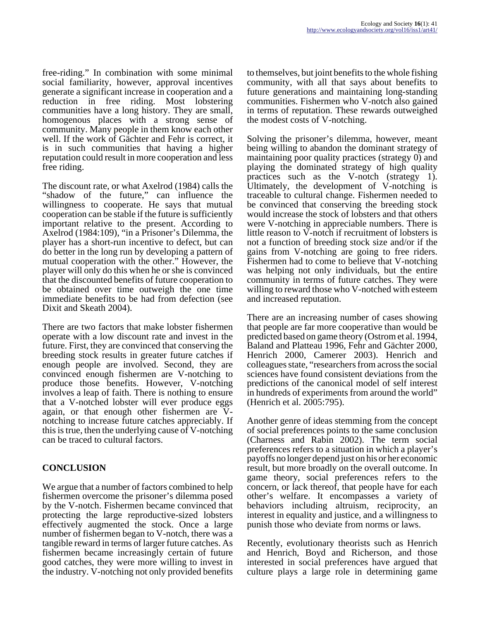free-riding." In combination with some minimal social familiarity, however, approval incentives generate a significant increase in cooperation and a reduction in free riding. Most lobstering communities have a long history. They are small, homogenous places with a strong sense of community. Many people in them know each other well. If the work of Gächter and Fehr is correct, it is in such communities that having a higher reputation could result in more cooperation and less free riding.

The discount rate, or what Axelrod (1984) calls the "shadow of the future," can influence the willingness to cooperate. He says that mutual cooperation can be stable if the future is sufficiently important relative to the present. According to Axelrod (1984:109), "in a Prisoner's Dilemma, the player has a short-run incentive to defect, but can do better in the long run by developing a pattern of mutual cooperation with the other." However, the player will only do this when he or she is convinced that the discounted benefits of future cooperation to be obtained over time outweigh the one time immediate benefits to be had from defection (see Dixit and Skeath 2004).

There are two factors that make lobster fishermen operate with a low discount rate and invest in the future. First, they are convinced that conserving the breeding stock results in greater future catches if enough people are involved. Second, they are convinced enough fishermen are V-notching to produce those benefits. However, V-notching involves a leap of faith. There is nothing to ensure that a V-notched lobster will ever produce eggs again, or that enough other fishermen are Vnotching to increase future catches appreciably. If this is true, then the underlying cause of V-notching can be traced to cultural factors.

### **CONCLUSION**

We argue that a number of factors combined to help fishermen overcome the prisoner's dilemma posed by the V-notch. Fishermen became convinced that protecting the large reproductive-sized lobsters effectively augmented the stock. Once a large number of fishermen began to V-notch, there was a tangible reward in terms of larger future catches. As fishermen became increasingly certain of future good catches, they were more willing to invest in the industry. V-notching not only provided benefits

to themselves, but joint benefits to the whole fishing community, with all that says about benefits to future generations and maintaining long-standing communities. Fishermen who V-notch also gained in terms of reputation. These rewards outweighed the modest costs of V-notching.

Solving the prisoner's dilemma, however, meant being willing to abandon the dominant strategy of maintaining poor quality practices (strategy 0) and playing the dominated strategy of high quality practices such as the V-notch (strategy 1). Ultimately, the development of V-notching is traceable to cultural change. Fishermen needed to be convinced that conserving the breeding stock would increase the stock of lobsters and that others were V-notching in appreciable numbers. There is little reason to V-notch if recruitment of lobsters is not a function of breeding stock size and/or if the gains from V-notching are going to free riders. Fishermen had to come to believe that V-notching was helping not only individuals, but the entire community in terms of future catches. They were willing to reward those who V-notched with esteem and increased reputation.

There are an increasing number of cases showing that people are far more cooperative than would be predicted based on game theory (Ostrom et al. 1994, Baland and Platteau 1996, Fehr and Gächter 2000, Henrich 2000, Camerer 2003). Henrich and colleagues state, "researchers from across the social sciences have found consistent deviations from the predictions of the canonical model of self interest in hundreds of experiments from around the world" (Henrich et al. 2005:795).

Another genre of ideas stemming from the concept of social preferences points to the same conclusion (Charness and Rabin 2002). The term social preferences refers to a situation in which a player's payoffs no longer depend just on his or her economic result, but more broadly on the overall outcome. In game theory, social preferences refers to the concern, or lack thereof, that people have for each other's welfare. It encompasses a variety of behaviors including altruism, reciprocity, an interest in equality and justice, and a willingness to punish those who deviate from norms or laws.

Recently, evolutionary theorists such as Henrich and Henrich, Boyd and Richerson, and those interested in social preferences have argued that culture plays a large role in determining game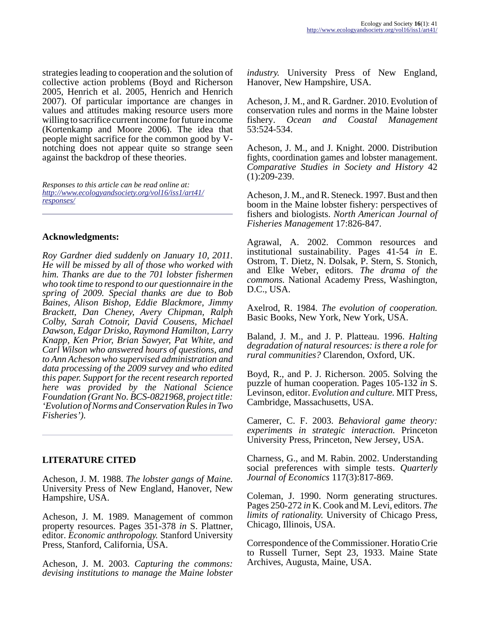strategies leading to cooperation and the solution of collective action problems (Boyd and Richerson 2005, Henrich et al. 2005, Henrich and Henrich 2007). Of particular importance are changes in values and attitudes making resource users more willing to sacrifice current income for future income (Kortenkamp and Moore 2006). The idea that people might sacrifice for the common good by Vnotching does not appear quite so strange seen against the backdrop of these theories.

*Responses to this article can be read online at: [http://www](http://www.ecologyandsociety.org/vol16/iss1/art41/responses/).ecologyandsociety.org/vol16/iss1/art41/ responses/*

#### **Acknowledgments:**

*Roy Gardner died suddenly on January 10, 2011. He will be missed by all of those who worked with him. Thanks are due to the 701 lobster fishermen who took time to respond to our questionnaire in the spring of 2009. Special thanks are due to Bob Baines, Alison Bishop, Eddie Blackmore, Jimmy Brackett, Dan Cheney, Avery Chipman, Ralph Colby, Sarah Cotnoir, David Cousens, Michael Dawson, Edgar Drisko, Raymond Hamilton, Larry Knapp, Ken Prior, Brian Sawyer, Pat White, and Carl Wilson who answered hours of questions, and to Ann Acheson who supervised administration and data processing of the 2009 survey and who edited this paper. Support for the recent research reported here was provided by the National Science Foundation (Grant No. BCS-0821968, project title: 'Evolution of Norms and Conservation Rules in Two Fisheries').* 

### **LITERATURE CITED**

Acheson, J. M. 1988. *The lobster gangs of Maine.* University Press of New England, Hanover, New Hampshire, USA.

Acheson, J. M. 1989. Management of common property resources. Pages 351-378 *in* S. Plattner, editor. *Economic anthropology.* Stanford University Press, Stanford, California, USA.

Acheson, J. M. 2003. *Capturing the commons: devising institutions to manage the Maine lobster* *industry.* University Press of New England, Hanover, New Hampshire, USA.

Acheson, J. M., and R. Gardner. 2010. Evolution of conservation rules and norms in the Maine lobster fishery. *Ocean and Coastal Management* 53:524-534.

Acheson, J. M., and J. Knight. 2000. Distribution fights, coordination games and lobster management. *Comparative Studies in Society and History* 42 (1):209-239.

Acheson, J. M., and R. Steneck. 1997. Bust and then boom in the Maine lobster fishery: perspectives of fishers and biologists. *North American Journal of Fisheries Management* 17:826-847.

Agrawal, A. 2002. Common resources and institutional sustainability. Pages 41-54 *in* E. Ostrom, T. Dietz, N. Dolsak, P. Stern, S. Stonich, and Elke Weber, editors. *The drama of the commons.* National Academy Press, Washington, D.C., USA.

Axelrod, R. 1984. *The evolution of cooperation.* Basic Books, New York, New York, USA.

Baland, J. M., and J. P. Platteau. 1996. *Halting degradation of natural resources: is there a role for rural communities?* Clarendon, Oxford, UK.

Boyd, R., and P. J. Richerson. 2005. Solving the puzzle of human cooperation. Pages 105-132 *in* S. Levinson, editor. *Evolution and culture.* MIT Press, Cambridge, Massachusetts, USA.

Camerer, C. F. 2003. *Behavioral game theory: experiments in strategic interaction.* Princeton University Press, Princeton, New Jersey, USA.

Charness, G., and M. Rabin. 2002. Understanding social preferences with simple tests. *Quarterly Journal of Economics* 117(3):817-869.

Coleman, J. 1990. Norm generating structures. Pages 250-272 *in* K. Cook and M. Levi, editors. *The limits of rationality.* University of Chicago Press, Chicago, Illinois, USA.

Correspondence of the Commissioner. Horatio Crie to Russell Turner, Sept 23, 1933. Maine State Archives, Augusta, Maine, USA.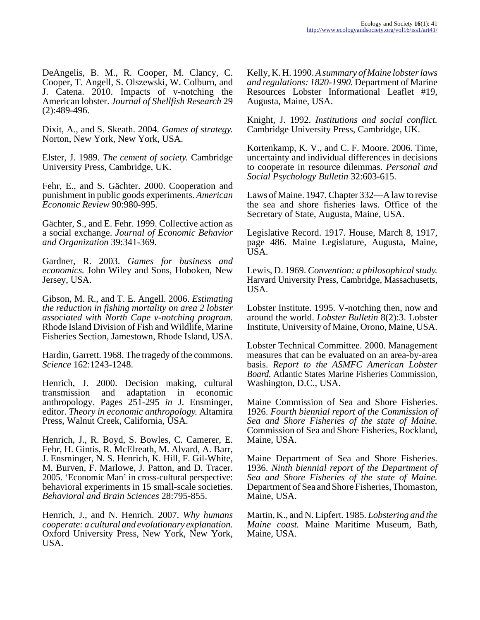DeAngelis, B. M., R. Cooper, M. Clancy, C. Cooper, T. Angell, S. Olszewski, W. Colburn, and J. Catena. 2010. Impacts of v-notching the American lobster. *Journal of Shellfish Research* 29 (2):489-496.

Dixit, A., and S. Skeath. 2004. *Games of strategy.* Norton, New York, New York, USA.

Elster, J. 1989. *The cement of society.* Cambridge University Press, Cambridge, UK.

Fehr, E., and S. Gächter. 2000. Cooperation and punishment in public goods experiments. *American Economic Review* 90:980-995.

Gächter, S., and E. Fehr. 1999. Collective action as a social exchange. *Journal of Economic Behavior and Organization* 39:341-369.

Gardner, R. 2003. *Games for business and economics.* John Wiley and Sons, Hoboken, New Jersey, USA.

Gibson, M. R., and T. E. Angell. 2006. *Estimating the reduction in fishing mortality on area 2 lobster associated with North Cape v-notching program.* Rhode Island Division of Fish and Wildlife, Marine Fisheries Section, Jamestown, Rhode Island, USA.

Hardin, Garrett. 1968. The tragedy of the commons. *Science* 162:1243-1248.

Henrich, J. 2000. Decision making, cultural transmission and adaptation in economic anthropology. Pages 251-295 *in* J. Ensminger, editor. *Theory in economic anthropology.* Altamira Press, Walnut Creek, California, USA.

Henrich, J., R. Boyd, S. Bowles, C. Camerer, E. Fehr, H. Gintis, R. McElreath, M. Alvard, A. Barr, J. Ensminger, N. S. Henrich, K. Hill, F. Gil-White, M. Burven, F. Marlowe, J. Patton, and D. Tracer. 2005. 'Economic Man' in cross-cultural perspective: behavioral experiments in 15 small-scale societies. *Behavioral and Brain Sciences* 28:795-855.

Henrich, J., and N. Henrich. 2007. *Why humans cooperate: a cultural and evolutionary explanation.* Oxford University Press, New York, New York, USA.

Kelly, K. H. 1990. *A summary of Maine lobster laws and regulations: 1820-1990.* Department of Marine Resources Lobster Informational Leaflet #19, Augusta, Maine, USA.

Knight, J. 1992. *Institutions and social conflict.* Cambridge University Press, Cambridge, UK.

Kortenkamp, K. V., and C. F. Moore. 2006. Time, uncertainty and individual differences in decisions to cooperate in resource dilemmas. *Personal and Social Psychology Bulletin* 32:603-615.

Laws of Maine. 1947. Chapter 332—A law to revise the sea and shore fisheries laws. Office of the Secretary of State, Augusta, Maine, USA.

Legislative Record. 1917. House, March 8, 1917, page 486. Maine Legislature, Augusta, Maine, USA.

Lewis, D. 1969. *Convention: a philosophical study.* Harvard University Press, Cambridge, Massachusetts, USA.

Lobster Institute. 1995. V-notching then, now and around the world. *Lobster Bulletin* 8(2):3. Lobster Institute, University of Maine, Orono, Maine, USA.

Lobster Technical Committee. 2000. Management measures that can be evaluated on an area-by-area basis. *Report to the ASMFC American Lobster Board.* Atlantic States Marine Fisheries Commission, Washington, D.C., USA.

Maine Commission of Sea and Shore Fisheries. 1926. *Fourth biennial report of the Commission of Sea and Shore Fisheries of the state of Maine.* Commission of Sea and Shore Fisheries, Rockland, Maine, USA.

Maine Department of Sea and Shore Fisheries. 1936. *Ninth biennial report of the Department of Sea and Shore Fisheries of the state of Maine.* Department of Sea and Shore Fisheries, Thomaston, Maine, USA.

Martin, K., and N. Lipfert. 1985. *Lobstering and the Maine coast.* Maine Maritime Museum, Bath, Maine, USA.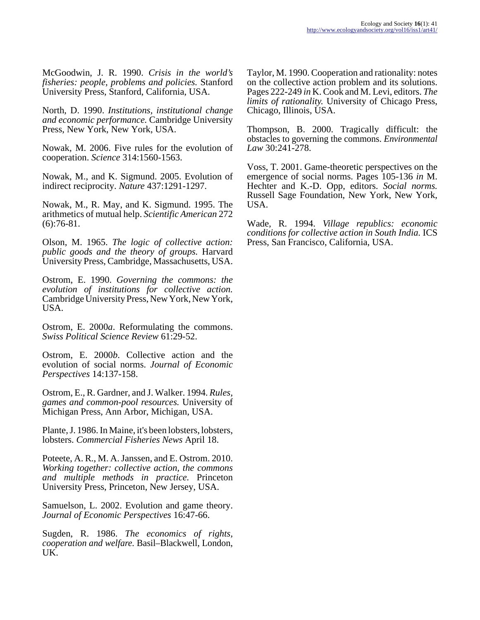McGoodwin, J. R. 1990. *Crisis in the world's fisheries: people, problems and policies.* Stanford University Press, Stanford, California, USA.

North, D. 1990. *Institutions, institutional change and economic performance.* Cambridge University Press, New York, New York, USA.

Nowak, M. 2006. Five rules for the evolution of cooperation. *Science* 314:1560-1563.

Nowak, M., and K. Sigmund. 2005. Evolution of indirect reciprocity. *Nature* 437:1291-1297.

Nowak, M., R. May, and K. Sigmund. 1995. The arithmetics of mutual help. *Scientific American* 272  $(6):76-81.$ 

Olson, M. 1965. *The logic of collective action: public goods and the theory of groups.* Harvard University Press, Cambridge, Massachusetts, USA.

Ostrom, E. 1990. *Governing the commons: the evolution of institutions for collective action.* Cambridge University Press, New York, New York, USA.

Ostrom, E. 2000*a*. Reformulating the commons. *Swiss Political Science Review* 61:29-52.

Ostrom, E. 2000*b*. Collective action and the evolution of social norms. *Journal of Economic Perspectives* 14:137-158.

Ostrom, E., R. Gardner, and J. Walker. 1994. *Rules, games and common-pool resources.* University of Michigan Press, Ann Arbor, Michigan, USA.

Plante, J. 1986. In Maine, it's been lobsters, lobsters, lobsters. *Commercial Fisheries News* April 18.

Poteete, A. R., M. A. Janssen, and E. Ostrom. 2010. *Working together: collective action, the commons and multiple methods in practice.* Princeton University Press, Princeton, New Jersey, USA.

Samuelson, L. 2002. Evolution and game theory. *Journal of Economic Perspectives* 16:47-66.

Sugden, R. 1986. *The economics of rights, cooperation and welfare.* Basil–Blackwell, London, UK.

Taylor, M. 1990. Cooperation and rationality: notes on the collective action problem and its solutions. Pages 222-249 *in* K. Cook and M. Levi, editors. *The limits of rationality.* University of Chicago Press, Chicago, Illinois, USA.

Thompson, B. 2000. Tragically difficult: the obstacles to governing the commons. *Environmental Law* 30:241-278.

Voss, T. 2001. Game-theoretic perspectives on the emergence of social norms. Pages 105-136 *in* M. Hechter and K.-D. Opp, editors. *Social norms.* Russell Sage Foundation, New York, New York, USA.

Wade, R. 1994. *Village republics: economic conditions for collective action in South India.* ICS Press, San Francisco, California, USA.